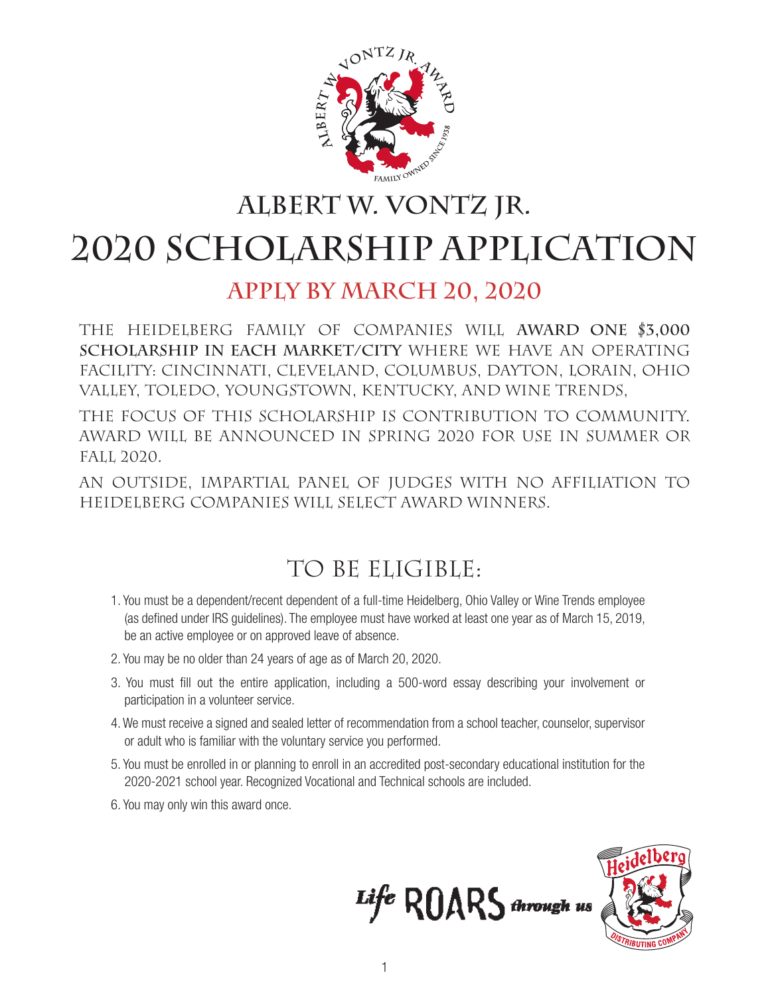

## **Albert W. Vontz Jr. 2020 Scholarship APPLICATION**

### **Apply by March 20, 2020**

The Heidelberg family of companies will **award one \$3,000 scholarship in each market/city** where we have an operating facility: Cincinnati, Cleveland, Columbus, Dayton, LORAIN, Ohio Valley, Toledo, youngstown, Kentucky, and wine trends,

The focus of this scholarship is contribution to community. Award will be announced in Spring 2020 for use in Summer or Fall 2020.

An outside, impartial panel of judges with no affiliation to Heidelberg companies will select award winners.

### TO BE ELIGIBLE:

- 1. You must be a dependent/recent dependent of a full-time Heidelberg, Ohio Valley or Wine Trends employee (as defined under IRS guidelines). The employee must have worked at least one year as of March 15, 2019, be an active employee or on approved leave of absence.
- 2. You may be no older than 24 years of age as of March 20, 2020.
- 3. You must fill out the entire application, including a 500-word essay describing your involvement or participation in a volunteer service.
- 4. We must receive a signed and sealed letter of recommendation from a school teacher, counselor, supervisor or adult who is familiar with the voluntary service you performed.
- 5. You must be enrolled in or planning to enroll in an accredited post-secondary educational institution for the 2020-2021 school year. Recognized Vocational and Technical schools are included.
- 6. You may only win this award once.



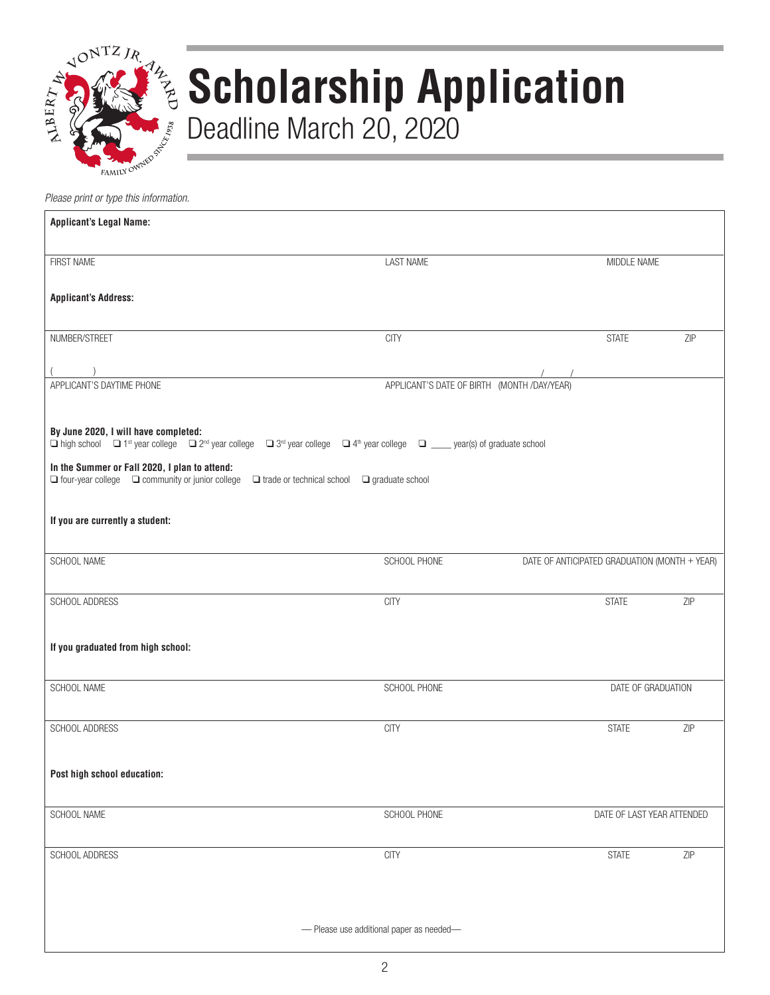

# **Scholarship Application** Deadline March 20, 2020

*Please print or type this information.*

| <b>Applicant's Legal Name:</b>                                                                                                                                                                                                                                                                                                                                                                                                                               |                                             |                                               |     |  |  |  |  |  |
|--------------------------------------------------------------------------------------------------------------------------------------------------------------------------------------------------------------------------------------------------------------------------------------------------------------------------------------------------------------------------------------------------------------------------------------------------------------|---------------------------------------------|-----------------------------------------------|-----|--|--|--|--|--|
| FIRST NAME                                                                                                                                                                                                                                                                                                                                                                                                                                                   | <b>LAST NAME</b>                            | MIDDLE NAME                                   |     |  |  |  |  |  |
| <b>Applicant's Address:</b>                                                                                                                                                                                                                                                                                                                                                                                                                                  |                                             |                                               |     |  |  |  |  |  |
| NUMBER/STREET                                                                                                                                                                                                                                                                                                                                                                                                                                                | <b>CITY</b>                                 | <b>STATE</b>                                  | ZIP |  |  |  |  |  |
|                                                                                                                                                                                                                                                                                                                                                                                                                                                              |                                             |                                               |     |  |  |  |  |  |
| APPLICANT'S DAYTIME PHONE                                                                                                                                                                                                                                                                                                                                                                                                                                    | APPLICANT'S DATE OF BIRTH (MONTH /DAY/YEAR) |                                               |     |  |  |  |  |  |
| By June 2020, I will have completed:<br>$\Box$ high school $\Box$ 1 <sup>st</sup> year college $\Box$ 2 <sup>nd</sup> year college $\Box$ 3 <sup>rd</sup> year college $\Box$ 4 <sup>th</sup> year college $\Box$ ____ year(s) of graduate school<br>In the Summer or Fall 2020, I plan to attend:<br>$\Box$ four-year college $\Box$ community or junior college $\Box$ trade or technical school $\Box$ graduate school<br>If you are currently a student: |                                             |                                               |     |  |  |  |  |  |
|                                                                                                                                                                                                                                                                                                                                                                                                                                                              |                                             |                                               |     |  |  |  |  |  |
| SCHOOL NAME                                                                                                                                                                                                                                                                                                                                                                                                                                                  | SCHOOL PHONE                                | DATE OF ANTICIPATED GRADUATION (MONTH + YEAR) |     |  |  |  |  |  |
| SCHOOL ADDRESS                                                                                                                                                                                                                                                                                                                                                                                                                                               | <b>CITY</b>                                 | <b>STATE</b>                                  | ZIP |  |  |  |  |  |
| If you graduated from high school:                                                                                                                                                                                                                                                                                                                                                                                                                           |                                             |                                               |     |  |  |  |  |  |
| SCHOOL NAME                                                                                                                                                                                                                                                                                                                                                                                                                                                  | SCHOOL PHONE                                | DATE OF GRADUATION                            |     |  |  |  |  |  |
| SCHOOL ADDRESS                                                                                                                                                                                                                                                                                                                                                                                                                                               | <b>CITY</b>                                 | <b>STATE</b>                                  | ZIP |  |  |  |  |  |
| Post high school education:                                                                                                                                                                                                                                                                                                                                                                                                                                  |                                             |                                               |     |  |  |  |  |  |
| SCHOOL NAME                                                                                                                                                                                                                                                                                                                                                                                                                                                  | SCHOOL PHONE                                | DATE OF LAST YEAR ATTENDED                    |     |  |  |  |  |  |
| SCHOOL ADDRESS                                                                                                                                                                                                                                                                                                                                                                                                                                               | <b>CITY</b>                                 | <b>STATE</b>                                  | ZIP |  |  |  |  |  |
|                                                                                                                                                                                                                                                                                                                                                                                                                                                              |                                             |                                               |     |  |  |  |  |  |
| - Please use additional paper as needed-                                                                                                                                                                                                                                                                                                                                                                                                                     |                                             |                                               |     |  |  |  |  |  |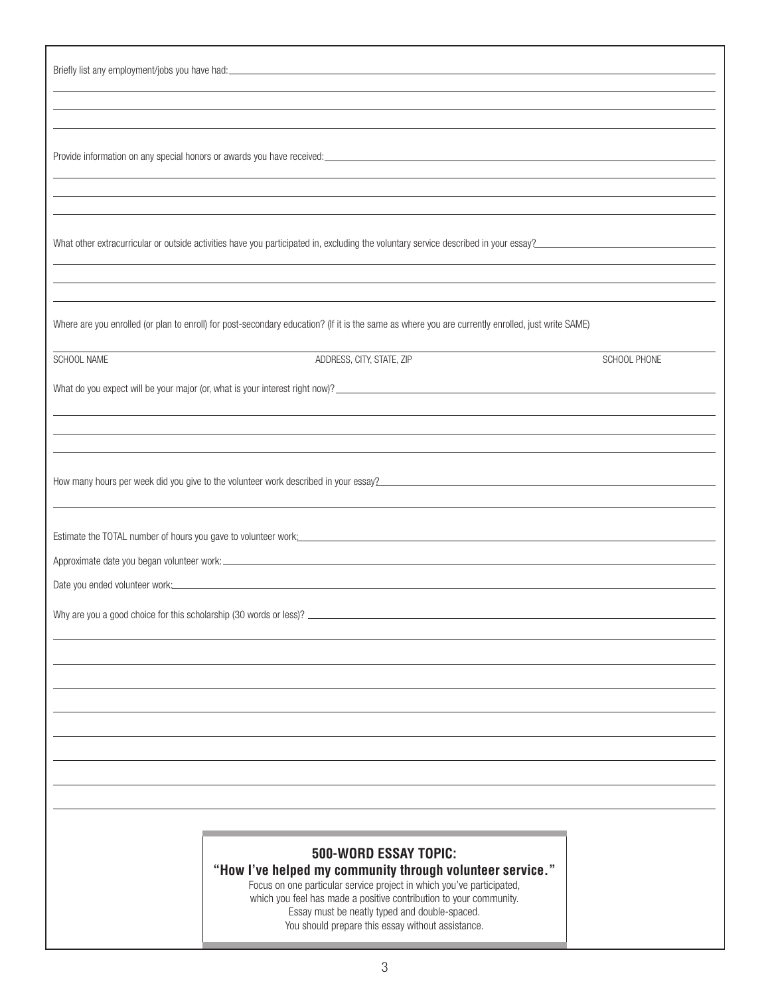|             | What other extracurricular or outside activities have you participated in, excluding the voluntary service described in your essay?                                                                                             |              |
|-------------|---------------------------------------------------------------------------------------------------------------------------------------------------------------------------------------------------------------------------------|--------------|
|             |                                                                                                                                                                                                                                 |              |
|             |                                                                                                                                                                                                                                 |              |
|             | Where are you enrolled (or plan to enroll) for post-secondary education? (If it is the same as where you are currently enrolled, just write SAME)                                                                               |              |
| SCHOOL NAME | ADDRESS, CITY, STATE, ZIP                                                                                                                                                                                                       | SCHOOL PHONE |
|             |                                                                                                                                                                                                                                 |              |
|             |                                                                                                                                                                                                                                 |              |
|             |                                                                                                                                                                                                                                 |              |
|             |                                                                                                                                                                                                                                 |              |
|             | How many hours per week did you give to the volunteer work described in your essay?<br>Subsequently and the control of the control of the control of the control of the control of the control of the control of the control of |              |
|             |                                                                                                                                                                                                                                 |              |
|             |                                                                                                                                                                                                                                 |              |
|             |                                                                                                                                                                                                                                 |              |
|             |                                                                                                                                                                                                                                 |              |
|             | Date you ended volunteer work: Notified and the state of the state of the state of the state of the state of the state of the state of the state of the state of the state of the state of the state of the state of the state  |              |
|             |                                                                                                                                                                                                                                 |              |
|             |                                                                                                                                                                                                                                 |              |
|             |                                                                                                                                                                                                                                 |              |
|             |                                                                                                                                                                                                                                 |              |
|             |                                                                                                                                                                                                                                 |              |
|             |                                                                                                                                                                                                                                 |              |
|             |                                                                                                                                                                                                                                 |              |
|             |                                                                                                                                                                                                                                 |              |
|             |                                                                                                                                                                                                                                 |              |
|             |                                                                                                                                                                                                                                 |              |
|             |                                                                                                                                                                                                                                 |              |
|             | <b>500-WORD ESSAY TOPIC:</b><br>"How I've helped my community through volunteer service."                                                                                                                                       |              |
|             | Focus on one particular service project in which you've participated,                                                                                                                                                           |              |
|             | which you feel has made a positive contribution to your community.<br>Essay must be neatly typed and double-spaced.<br>You should prepare this essay without assistance.                                                        |              |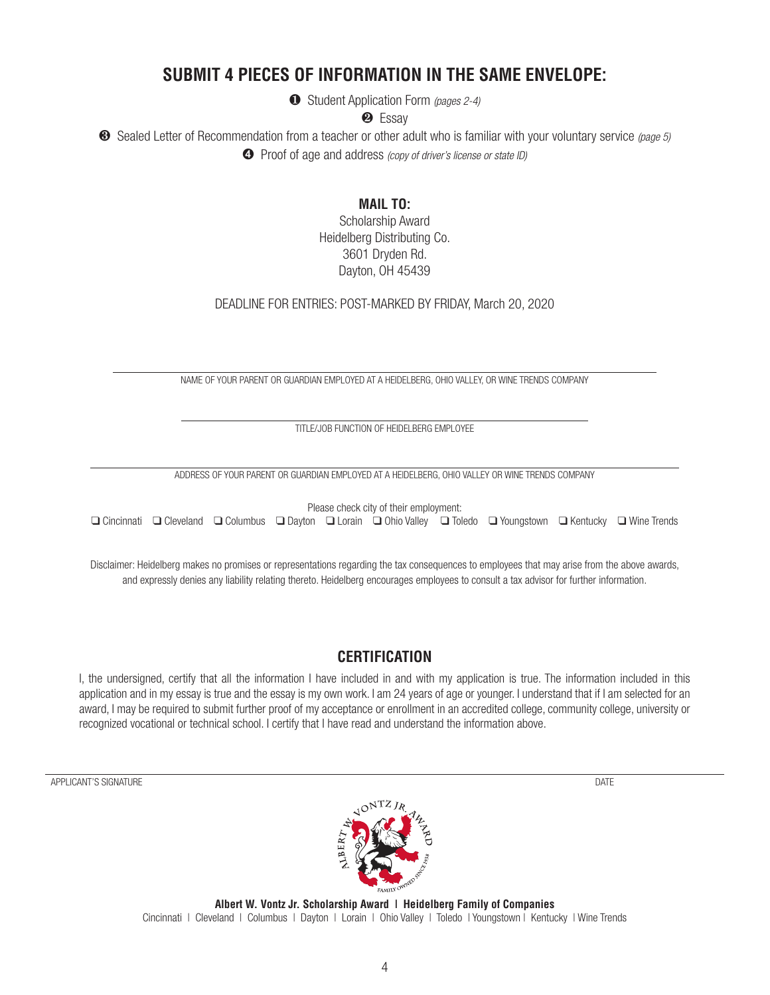### **SUBMIT 4 PIECES OF INFORMATION IN THE SAME ENVELOPE:**

¶ Student Application Form *(pages 2-4)*

<sup>2</sup> Essay

¸ Sealed Letter of Recommendation from a teacher or other adult who is familiar with your voluntary service *(page 5)* **<sup>4</sup>** Proof of age and address *(copy of driver's license or state ID)* 

**MAIL TO:** 

Scholarship Award Heidelberg Distributing Co. 3601 Dryden Rd. Dayton, OH 45439

DEADLINE FOR ENTRIES: POST-MARKED BY FRIDAY, March 20, 2020

NAME OF YOUR PARENT OR GUARDIAN EMPLOYED AT A HEIDELBERG, OHIO VALLEY, OR WINE TRENDS COMPANY

TITLE/JOB FUNCTION OF HEIDELBERG EMPLOYEE

ADDRESS OF YOUR PARENT OR GUARDIAN EMPLOYED AT A HEIDELBERG, OHIO VALLEY OR WINE TRENDS COMPANY

Please check city of their employment: q  Cincinnati q  Cleveland q  Columbus q  Dayton q  Lorain q  Ohio Valley q  Toledo q  Youngstown q  Kentucky q  Wine Trends

Disclaimer: Heidelberg makes no promises or representations regarding the tax consequences to employees that may arise from the above awards, and expressly denies any liability relating thereto. Heidelberg encourages employees to consult a tax advisor for further information.

### **CERTIFICATION**

I, the undersigned, certify that all the information I have included in and with my application is true. The information included in this application and in my essay is true and the essay is my own work. I am 24 years of age or younger. I understand that if I am selected for an award, I may be required to submit further proof of my acceptance or enrollment in an accredited college, community college, university or recognized vocational or technical school. I certify that I have read and understand the information above.

APPLICANT'S SIGNATURE DATE AND A SERVER A SERVER AND A SERVER AND A SIGN OF DATE OF A SIGNATURE OF A SIGNATURE

**Albert W. Vontz Jr. Scholarship Award | Heidelberg Family of Companies** Cincinnati | Cleveland | Columbus | Dayton | Lorain | Ohio Valley | Toledo | Youngstown | Kentucky | Wine Trends